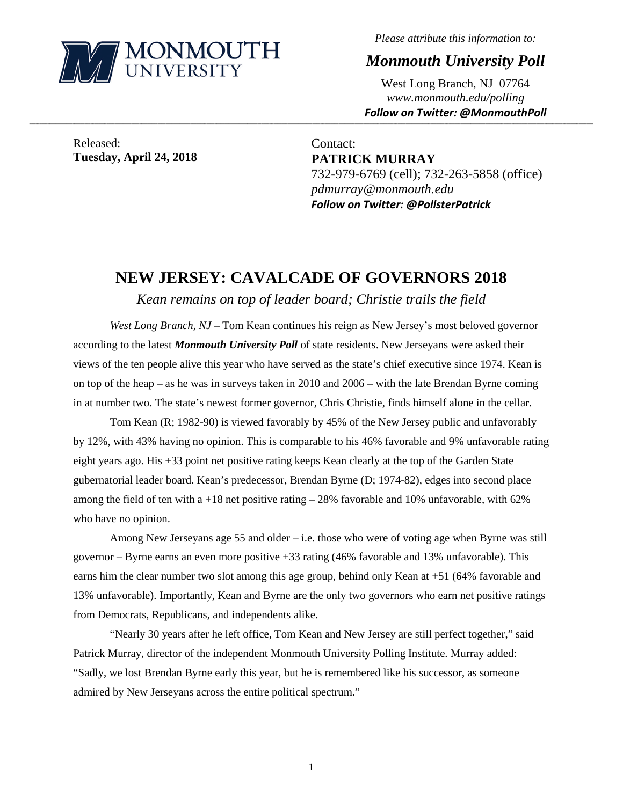

*Please attribute this information to:*

*Monmouth University Poll*

West Long Branch, NJ 07764 *www.monmouth.edu/polling Follow on Twitter: @MonmouthPoll*

Released: **Tuesday, April 24, 2018**

Contact: **PATRICK MURRAY** 732-979-6769 (cell); 732-263-5858 (office) *pdmurray@monmouth.edu Follow on Twitter: @PollsterPatrick*

# **NEW JERSEY: CAVALCADE OF GOVERNORS 2018**

**\_\_\_\_\_\_\_\_\_\_\_\_\_\_\_\_\_\_\_\_\_\_\_\_\_\_\_\_\_\_\_\_\_\_\_\_\_\_\_\_\_\_\_\_\_\_\_\_\_\_\_\_\_\_\_\_\_\_\_\_\_\_\_\_\_\_\_\_\_\_\_\_\_\_\_\_\_\_\_\_\_\_\_\_\_\_\_\_\_\_\_\_\_\_\_\_\_\_\_\_\_\_\_\_\_\_\_\_\_\_\_\_\_\_\_\_\_\_\_\_\_\_\_\_\_\_\_\_\_\_\_\_\_\_\_\_\_\_\_\_\_\_\_\_\_\_\_\_\_\_\_\_\_\_\_\_\_\_\_\_\_\_\_\_\_\_\_\_\_\_\_\_\_\_\_\_\_\_\_\_\_\_\_\_\_\_\_\_\_\_\_\_\_\_\_\_\_\_\_\_\_\_\_\_\_\_\_\_\_\_\_\_\_\_\_\_\_\_\_\_\_\_\_\_\_\_\_\_\_\_\_\_\_\_\_\_\_\_\_\_\_\_\_\_\_\_\_\_\_\_\_\_\_\_\_\_\_\_\_\_\_\_\_\_\_\_\_\_\_\_\_\_\_\_\_\_\_**

*Kean remains on top of leader board; Christie trails the field*

*West Long Branch, NJ* – Tom Kean continues his reign as New Jersey's most beloved governor according to the latest *Monmouth University Poll* of state residents. New Jerseyans were asked their views of the ten people alive this year who have served as the state's chief executive since 1974. Kean is on top of the heap – as he was in surveys taken in 2010 and 2006 – with the late Brendan Byrne coming in at number two. The state's newest former governor, Chris Christie, finds himself alone in the cellar.

Tom Kean (R; 1982-90) is viewed favorably by 45% of the New Jersey public and unfavorably by 12%, with 43% having no opinion. This is comparable to his 46% favorable and 9% unfavorable rating eight years ago. His +33 point net positive rating keeps Kean clearly at the top of the Garden State gubernatorial leader board. Kean's predecessor, Brendan Byrne (D; 1974-82), edges into second place among the field of ten with a  $+18$  net positive rating  $-28\%$  favorable and 10% unfavorable, with 62% who have no opinion.

Among New Jerseyans age 55 and older – i.e. those who were of voting age when Byrne was still governor – Byrne earns an even more positive +33 rating (46% favorable and 13% unfavorable). This earns him the clear number two slot among this age group, behind only Kean at +51 (64% favorable and 13% unfavorable). Importantly, Kean and Byrne are the only two governors who earn net positive ratings from Democrats, Republicans, and independents alike.

"Nearly 30 years after he left office, Tom Kean and New Jersey are still perfect together," said Patrick Murray, director of the independent Monmouth University Polling Institute. Murray added: "Sadly, we lost Brendan Byrne early this year, but he is remembered like his successor, as someone admired by New Jerseyans across the entire political spectrum."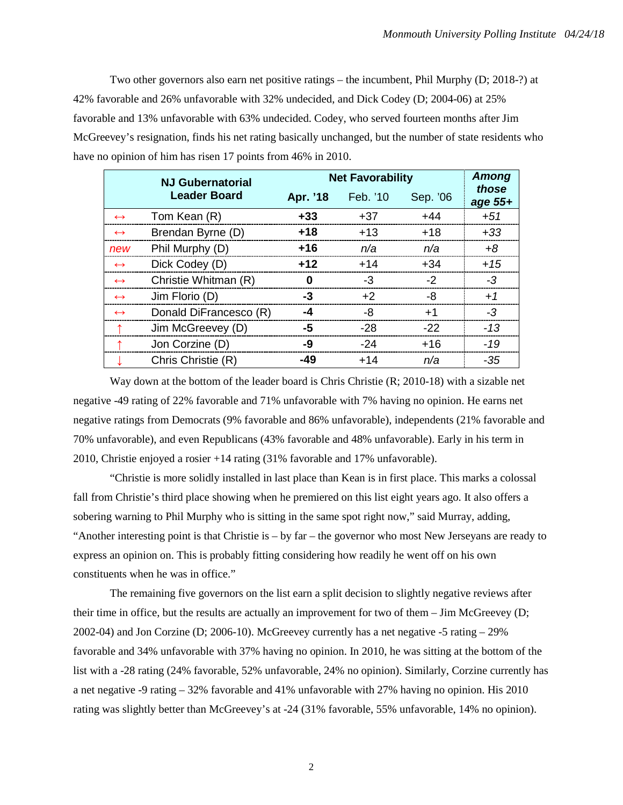Two other governors also earn net positive ratings – the incumbent, Phil Murphy (D; 2018-?) at 42% favorable and 26% unfavorable with 32% undecided, and Dick Codey (D; 2004-06) at 25% favorable and 13% unfavorable with 63% undecided. Codey, who served fourteen months after Jim McGreevey's resignation, finds his net rating basically unchanged, but the number of state residents who have no opinion of him has risen 17 points from 46% in 2010.

|                   | <b>NJ Gubernatorial</b> | <b>Net Favorability</b> |          |          | Among            |
|-------------------|-------------------------|-------------------------|----------|----------|------------------|
|                   | <b>Leader Board</b>     | Apr. '18                | Feb. '10 | Sep. '06 | those<br>age 55+ |
| $\leftrightarrow$ | Tom Kean (R)            | $+33$                   | $+37$    | $+44$    | $+51$            |
| $\leftrightarrow$ | Brendan Byrne (D)       | $+18$                   | $+13$    | $+18$    | $+33$            |
| new               | Phil Murphy (D)         | +16                     | n/a      | n/a      | $+8$             |
| $\leftrightarrow$ | Dick Codey (D)          | $+12$                   | $+14$    | $+34$    | $+15$            |
| $\leftrightarrow$ | Christie Whitman (R)    | 0                       | -3       | $-2$     | $-3$             |
| $\leftrightarrow$ | Jim Florio (D)          | -3                      | $+2$     | -8       | $+1$             |
| $\leftrightarrow$ | Donald DiFrancesco (R)  | -4                      | -8       | $+1$     | $-3$             |
| $\uparrow$        | Jim McGreevey (D)       | -5                      | $-28$    | $-22$    | $-13$            |
|                   | Jon Corzine (D)         | -9                      | $-24$    | $+16$    | $-19$            |
|                   | Chris Christie (R)      | -49                     | $+14$    | n/a      | $-35$            |

Way down at the bottom of the leader board is Chris Christie  $(R; 2010-18)$  with a sizable net negative -49 rating of 22% favorable and 71% unfavorable with 7% having no opinion. He earns net negative ratings from Democrats (9% favorable and 86% unfavorable), independents (21% favorable and 70% unfavorable), and even Republicans (43% favorable and 48% unfavorable). Early in his term in 2010, Christie enjoyed a rosier +14 rating (31% favorable and 17% unfavorable).

"Christie is more solidly installed in last place than Kean is in first place. This marks a colossal fall from Christie's third place showing when he premiered on this list eight years ago. It also offers a sobering warning to Phil Murphy who is sitting in the same spot right now," said Murray, adding, "Another interesting point is that Christie is – by far – the governor who most New Jerseyans are ready to express an opinion on. This is probably fitting considering how readily he went off on his own constituents when he was in office."

The remaining five governors on the list earn a split decision to slightly negative reviews after their time in office, but the results are actually an improvement for two of them – Jim McGreevey (D; 2002-04) and Jon Corzine (D; 2006-10). McGreevey currently has a net negative -5 rating – 29% favorable and 34% unfavorable with 37% having no opinion. In 2010, he was sitting at the bottom of the list with a -28 rating (24% favorable, 52% unfavorable, 24% no opinion). Similarly, Corzine currently has a net negative -9 rating – 32% favorable and 41% unfavorable with 27% having no opinion. His 2010 rating was slightly better than McGreevey's at -24 (31% favorable, 55% unfavorable, 14% no opinion).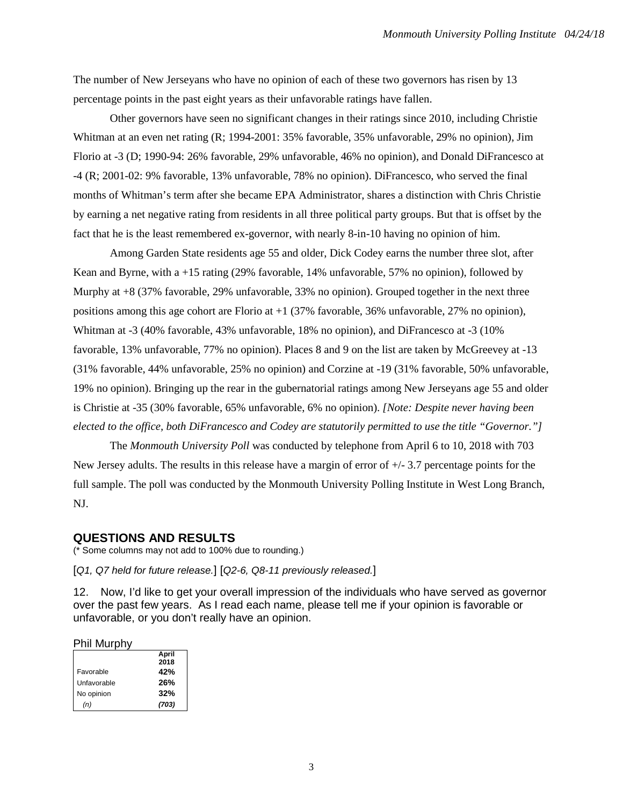The number of New Jerseyans who have no opinion of each of these two governors has risen by 13 percentage points in the past eight years as their unfavorable ratings have fallen.

Other governors have seen no significant changes in their ratings since 2010, including Christie Whitman at an even net rating (R; 1994-2001: 35% favorable, 35% unfavorable, 29% no opinion), Jim Florio at -3 (D; 1990-94: 26% favorable, 29% unfavorable, 46% no opinion), and Donald DiFrancesco at -4 (R; 2001-02: 9% favorable, 13% unfavorable, 78% no opinion). DiFrancesco, who served the final months of Whitman's term after she became EPA Administrator, shares a distinction with Chris Christie by earning a net negative rating from residents in all three political party groups. But that is offset by the fact that he is the least remembered ex-governor, with nearly 8-in-10 having no opinion of him.

Among Garden State residents age 55 and older, Dick Codey earns the number three slot, after Kean and Byrne, with a +15 rating (29% favorable, 14% unfavorable, 57% no opinion), followed by Murphy at +8 (37% favorable, 29% unfavorable, 33% no opinion). Grouped together in the next three positions among this age cohort are Florio at +1 (37% favorable, 36% unfavorable, 27% no opinion), Whitman at -3 (40% favorable, 43% unfavorable, 18% no opinion), and DiFrancesco at -3 (10% favorable, 13% unfavorable, 77% no opinion). Places 8 and 9 on the list are taken by McGreevey at -13 (31% favorable, 44% unfavorable, 25% no opinion) and Corzine at -19 (31% favorable, 50% unfavorable, 19% no opinion). Bringing up the rear in the gubernatorial ratings among New Jerseyans age 55 and older is Christie at -35 (30% favorable, 65% unfavorable, 6% no opinion). *[Note: Despite never having been elected to the office, both DiFrancesco and Codey are statutorily permitted to use the title "Governor."]*

The *Monmouth University Poll* was conducted by telephone from April 6 to 10, 2018 with 703 New Jersey adults. The results in this release have a margin of error of  $+/- 3.7$  percentage points for the full sample. The poll was conducted by the Monmouth University Polling Institute in West Long Branch, NJ.

# **QUESTIONS AND RESULTS**

(\* Some columns may not add to 100% due to rounding.)

[*Q1, Q7 held for future release.*] [*Q2-6, Q8-11 previously released.*]

12. Now, I'd like to get your overall impression of the individuals who have served as governor over the past few years. As I read each name, please tell me if your opinion is favorable or unfavorable, or you don't really have an opinion.

#### Phil Murphy

|             | April |
|-------------|-------|
|             | 2018  |
| Favorable   | 42%   |
| Unfavorable | 26%   |
| No opinion  | 32%   |
| (n)         | (703) |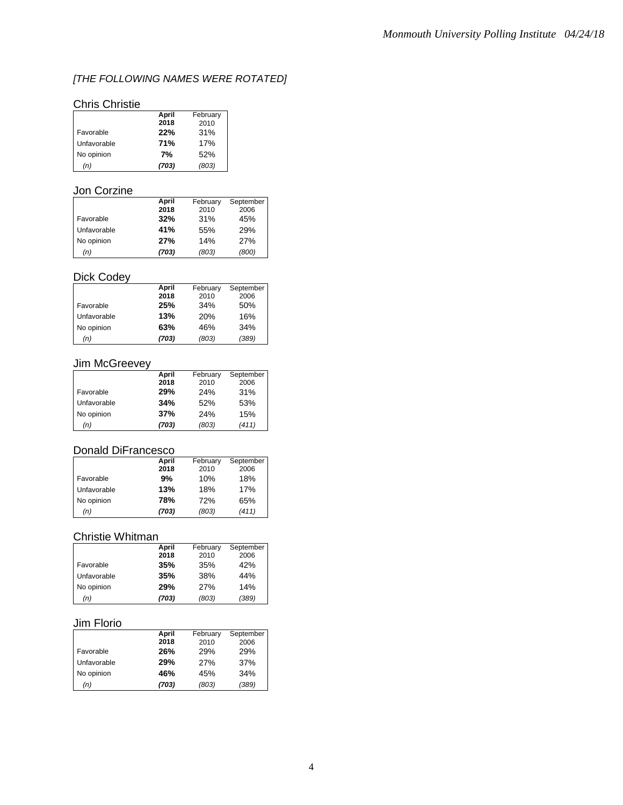# *[THE FOLLOWING NAMES WERE ROTATED]*

# Chris Christie

|             | April | February |
|-------------|-------|----------|
|             | 2018  | 2010     |
| Favorable   | 22%   | 31%      |
| Unfavorable | 71%   | 17%      |
| No opinion  | 7%    | 52%      |
| (n)         | (703) | (803)    |

### Jon Corzine

|             | April | February | September  |
|-------------|-------|----------|------------|
|             | 2018  | 2010     | 2006       |
| Favorable   | 32%   | 31%      | 45%        |
| Unfavorable | 41%   | 55%      | 29%        |
| No opinion  | 27%   | 14%      | <b>27%</b> |
| (n)         | (703) | (803)    | (800)      |

# Dick Codey

|             | April | February | September |
|-------------|-------|----------|-----------|
|             | 2018  | 2010     | 2006      |
| Favorable   | 25%   | 34%      | 50%       |
| Unfavorable | 13%   | 20%      | 16%       |
| No opinion  | 63%   | 46%      | 34%       |
| (n)         | (703) | (803)    | (389)     |

### Jim McGreevey

|             | April | February | September |
|-------------|-------|----------|-----------|
|             | 2018  | 2010     | 2006      |
| Favorable   | 29%   | 24%      | 31%       |
| Unfavorable | 34%   | 52%      | 53%       |
| No opinion  | 37%   | 24%      | 15%       |
| (n)         | (703) | (803)    | (411)     |

### Donald DiFrancesco

|             | April | February | September |
|-------------|-------|----------|-----------|
|             | 2018  | 2010     | 2006      |
| Favorable   | 9%    | 10%      | 18%       |
| Unfavorable | 13%   | 18%      | 17%       |
| No opinion  | 78%   | 72%      | 65%       |
| (n)         | (703) | (803)    | (411)     |

# Christie Whitman

|             | April | February | September |
|-------------|-------|----------|-----------|
|             | 2018  | 2010     | 2006      |
| Favorable   | 35%   | 35%      | 42%       |
| Unfavorable | 35%   | 38%      | 44%       |
| No opinion  | 29%   | 27%      | 14%       |
| (n)         | (703) | (803)    | (389)     |

### Jim Florio

|             | April | February | September |
|-------------|-------|----------|-----------|
|             | 2018  | 2010     | 2006      |
| Favorable   | 26%   | 29%      | 29%       |
| Unfavorable | 29%   | 27%      | 37%       |
| No opinion  | 46%   | 45%      | 34%       |
| (n)         | (703) | (803)    | (389)     |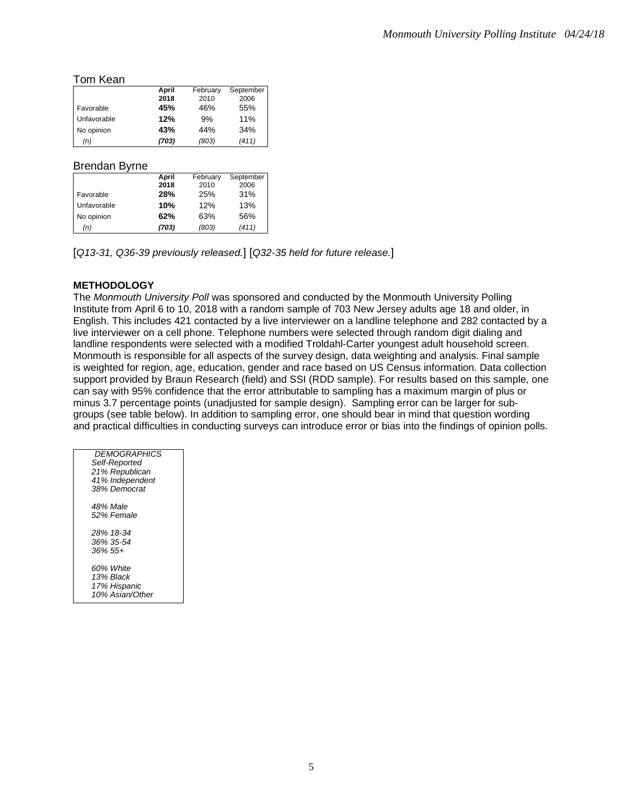#### Tom Kean

|             | April | February | September |
|-------------|-------|----------|-----------|
|             | 2018  | 2010     | 2006      |
| Favorable   | 45%   | 46%      | 55%       |
| Unfavorable | 12%   | 9%       | 11%       |
| No opinion  | 43%   | 44%      | 34%       |
| (n)         | (703) | (803)    | (411)     |

### Brendan Byrne

|             | April | February | September |
|-------------|-------|----------|-----------|
|             | 2018  | 2010     | 2006      |
| Favorable   | 28%   | 25%      | 31%       |
| Unfavorable | 10%   | 12%      | 13%       |
| No opinion  | 62%   | 63%      | 56%       |
| (n)         | (703) | (803)    | (411)     |

[*Q13-31, Q36-39 previously released.*] [*Q32-35 held for future release.*]

### **METHODOLOGY**

The *Monmouth University Poll* was sponsored and conducted by the Monmouth University Polling Institute from April 6 to 10, 2018 with a random sample of 703 New Jersey adults age 18 and older, in English. This includes 421 contacted by a live interviewer on a landline telephone and 282 contacted by a live interviewer on a cell phone. Telephone numbers were selected through random digit dialing and landline respondents were selected with a modified Troldahl-Carter youngest adult household screen. Monmouth is responsible for all aspects of the survey design, data weighting and analysis. Final sample is weighted for region, age, education, gender and race based on US Census information. Data collection support provided by Braun Research (field) and SSI (RDD sample). For results based on this sample, one can say with 95% confidence that the error attributable to sampling has a maximum margin of plus or minus 3.7 percentage points (unadjusted for sample design). Sampling error can be larger for subgroups (see table below). In addition to sampling error, one should bear in mind that question wording and practical difficulties in conducting surveys can introduce error or bias into the findings of opinion polls.

| <b>DEMOGRAPHICS</b><br>Self-Reported<br>21% Republican<br>41% Independent<br>38% Democrat |  |
|-------------------------------------------------------------------------------------------|--|
| 48% Male<br>52% Female                                                                    |  |
| 28% 18-34<br>36% 35-54<br>$36\%55+$                                                       |  |
| 60% White<br>13% Black<br>17% Hispanic<br>10% Asian/Other                                 |  |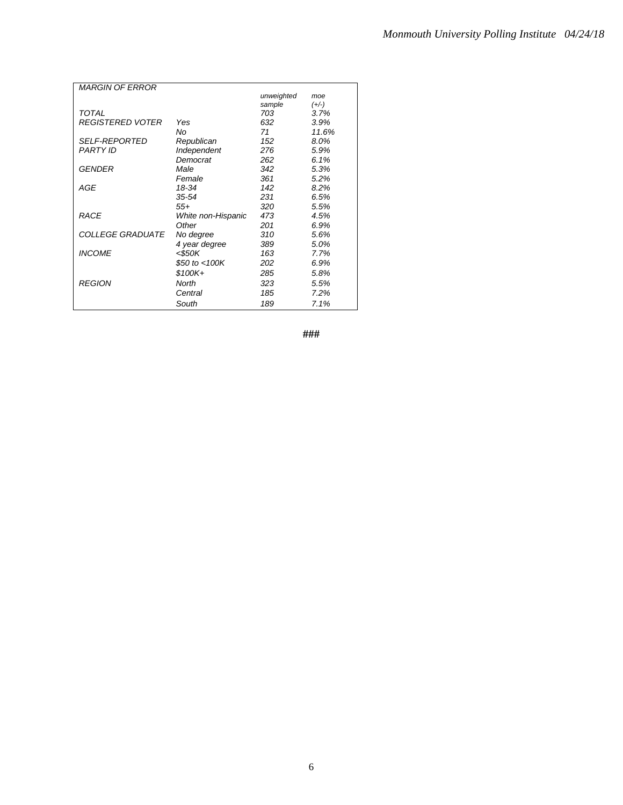| <b>MARGIN OF ERROR</b>  |                    |            |         |
|-------------------------|--------------------|------------|---------|
|                         |                    | unweighted | moe     |
|                         |                    | sample     | $(+/-)$ |
| <b>TOTAL</b>            |                    | 703        | 3.7%    |
| <b>REGISTERED VOTER</b> | Yes                | 632        | 3.9%    |
|                         | No                 | 71         | 11.6%   |
| <b>SELF-REPORTED</b>    | Republican         | 152        | 8.0%    |
| <b>PARTY ID</b>         | Independent        | 276        | 5.9%    |
|                         | Democrat           | 262        | 6.1%    |
| GENDER                  | Male               | 342        | 5.3%    |
|                         | Female             | 361        | 5.2%    |
| AGE                     | 18-34              | 142        | 8.2%    |
|                         | 35-54              | 231        | 6.5%    |
|                         | $55+$              | 320        | 5.5%    |
| RACE                    | White non-Hispanic | 473        | 4.5%    |
|                         | Other              | 201        | 6.9%    |
| <i>COLLEGE GRADUATE</i> | No degree          | 310        | 5.6%    |
|                         | 4 year degree      | 389        | 5.0%    |
| <b>INCOME</b>           | <\$50K             | 163        | 7.7%    |
|                         | \$50 to $<$ 100K   | 202        | 6.9%    |
|                         | $$100K +$          | 285        | 5.8%    |
| <b>REGION</b>           | North              | 323        | 5.5%    |
|                         | Central            | 185        | 7.2%    |
|                         | South              | 189        | 7.1%    |

**###**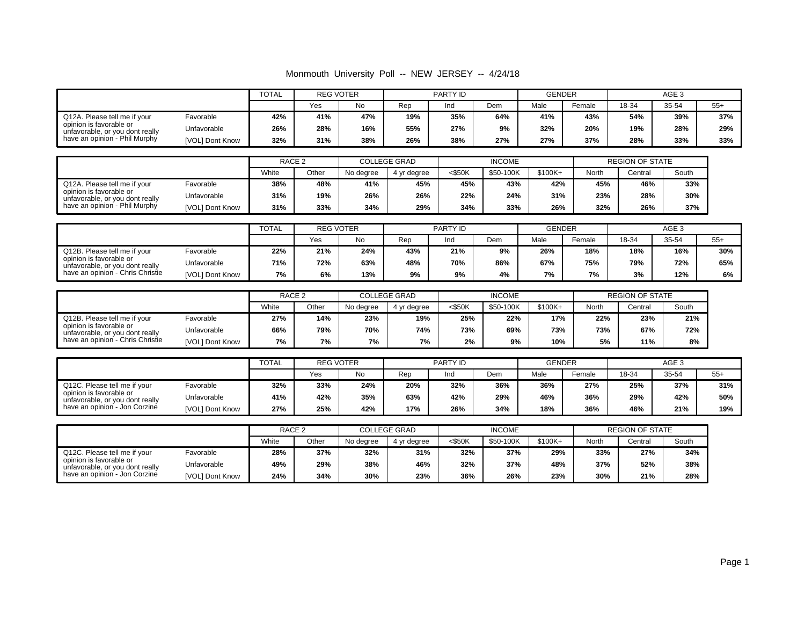#### Monmouth University Poll -- NEW JERSEY -- 4/24/18

|                                                            | <b>TOTAL</b>    |     | <b>REG VOTER</b> |     |     | PARTY ID |     | <b>GENDER</b> |        |       |       |       |
|------------------------------------------------------------|-----------------|-----|------------------|-----|-----|----------|-----|---------------|--------|-------|-------|-------|
|                                                            |                 |     | Yes              | No  | Rep | Ind      | Dem | Male          | Female | 18-34 | 35-54 | $55+$ |
| Favorable<br>Q12A. Please tell me if your                  |                 | 42% | 41%              | 47% | 19% | 35%      | 64% | 41%           | 43%    | 54%   | 39%   | 37%   |
| opinion is favorable or<br>unfavorable, or you dont really | Unfavorable     | 26% | 28%              | 16% | 55% | 27%      | 9%  | 32%           | 20%    | 19%   | 28%   | 29%   |
| have an opinion - Phil Murphy                              | [VOL] Dont Know | 32% | 31%              | 38% | 26% | 38%      | 27% | 27%           | 37%    | 28%   | 33%   | 33%   |

|                                                            |                 | RACE <sub>2</sub> |       |           | <b>COLLEGE GRAD</b> |           | <b>INCOME</b> |         | <b>REGION OF STATE</b> |        |       |
|------------------------------------------------------------|-----------------|-------------------|-------|-----------|---------------------|-----------|---------------|---------|------------------------|--------|-------|
|                                                            |                 | White             | Other | No dearee | 4 vr dearee         | $<$ \$50K | \$50-100K     | \$100K+ | North                  | Centra | South |
| Q12A. Please tell me if your                               | Favorable       | 38%               | 48%   | 41%       | 45%                 | 45%       | 43%           | 42%     | 45%                    | 46%    | 33%   |
| opinion is favorable or<br>unfavorable, or you dont really | Unfavorable     | 31%               | 19%   | 26%       | 26%                 | 22%       | 24%           | 31%     | 23%                    | 28%    | 30%   |
| have an opinion - Phil Murphy                              | [VOL] Dont Know | 31%               | 33%   | 34%       | 29%                 | 34%       | 33%           | 26%     | 32%                    | 26%    | 37%   |

|                                                            |                 | <b>TOTAL</b> |     | <b>REG VOTER</b> |     | PARTY ID |     | <b>GENDER</b> |        | AGE <sub>3</sub> |       |       |
|------------------------------------------------------------|-----------------|--------------|-----|------------------|-----|----------|-----|---------------|--------|------------------|-------|-------|
|                                                            |                 |              | Yes | No               | Rep |          | Dem | Male          | Female | 18-34            | 35-54 | $55+$ |
| Q12B. Please tell me if your                               | Favorable       | 22%          | 21% | 24%              | 43% | 21%      | 9%  | 26%           | 18%    | 18%              | 16%   | 30%   |
| opinion is favorable or<br>unfavorable, or you dont really | Unfavorable     | 71%          | 72% | 63%              | 48% | 70%      | 86% | 67%           | 75%    | 79%              | 72%   | 65%   |
| have an opinion - Chris Christie                           | [VOL] Dont Know | 7%           | 6%  | 13%              | 9%  | 9%       | 4%  | 7%            | 7%     | 3%               | 12%   | 6%    |

|                                                            |                        | RACE <sub>2</sub> |       |           | <b>COLLEGE GRAD</b> |           | <b>INCOME</b> |           | <b>REGION OF STATE</b> |         |       |
|------------------------------------------------------------|------------------------|-------------------|-------|-----------|---------------------|-----------|---------------|-----------|------------------------|---------|-------|
|                                                            |                        | White             | Other | No degree | 4 yr degree         | $<$ \$50K | \$50-100K     | $$100K +$ | North                  | Central | South |
| Favorable<br>Q12B. Please tell me if your                  |                        | 27%               | 14%   | 23%       | 19%                 | 25%       | 22%           | 17%       | 22%                    | 23%     | 21%   |
| opinion is favorable or<br>unfavorable, or you dont really | Unfavorable            | 66%               | 79%   | 70%       | 74%                 | 73%       | 69%           | 73%       | 73%                    | 67%     | 72%   |
| have an opinion - Chris Christie                           | <b>IVOLI Dont Know</b> | 7%                | 7%    | 7%        | 7%                  | 2%        | 9%            | 10%       | 5%                     | 11%     | 8%    |

|                                                            |                 | <b>TOTAL</b> | <b>REG VOTER</b> |     |     | PARTY ID |     | <b>GENDER</b> |        | AGE 3 |       |       |
|------------------------------------------------------------|-----------------|--------------|------------------|-----|-----|----------|-----|---------------|--------|-------|-------|-------|
|                                                            |                 |              | Yes              | No  | Rep | Ind      | Dem | Male          | Female | 18-34 | 35-54 | $55+$ |
| Favorable<br>Q12C. Please tell me if your                  | 32%             | 33%          | 24%              | 20% | 32% | 36%      | 36% | 27%           | 25%    | 37%   | 31%   |       |
| opinion is favorable or<br>unfavorable, or you dont really | Unfavorable     | 41%          | 42%              | 35% | 63% | 42%      | 29% | 46%           | 36%    | 29%   | 42%   | 50%   |
| have an opinion - Jon Corzine                              | [VOL] Dont Know | 27%          | 25%              | 42% | 17% | 26%      | 34% | 18%           | 36%    | 46%   | 21%   | 19%   |

|                                                            |                 | RACE <sub>2</sub> |       |           | <b>COLLEGE GRAD</b> |        | <b>INCOME</b> |           | <b>REGION OF STATE</b> |         |       |
|------------------------------------------------------------|-----------------|-------------------|-------|-----------|---------------------|--------|---------------|-----------|------------------------|---------|-------|
|                                                            |                 | White             | Other | No dearee | 4 vr dearee         | <\$50K | \$50-100K     | $$100K +$ | North                  | Central | South |
| Q12C. Please tell me if your<br>Favorable                  |                 | 28%               | 37%   | 32%       | 31%                 | 32%    | 37%           | 29%       | 33%                    | 27%     | 34%   |
| opinion is favorable or<br>unfavorable, or you dont really | Unfavorable     | 49%               | 29%   | 38%       | 46%                 | 32%    | 37%           | 48%       | 37%                    | 52%     | 38%   |
| have an opinion - Jon Corzine                              | [VOL] Dont Know | 24%               | 34%   | 30%       | 23%                 | 36%    | 26%           | 23%       | 30%                    | 21%     | 28%   |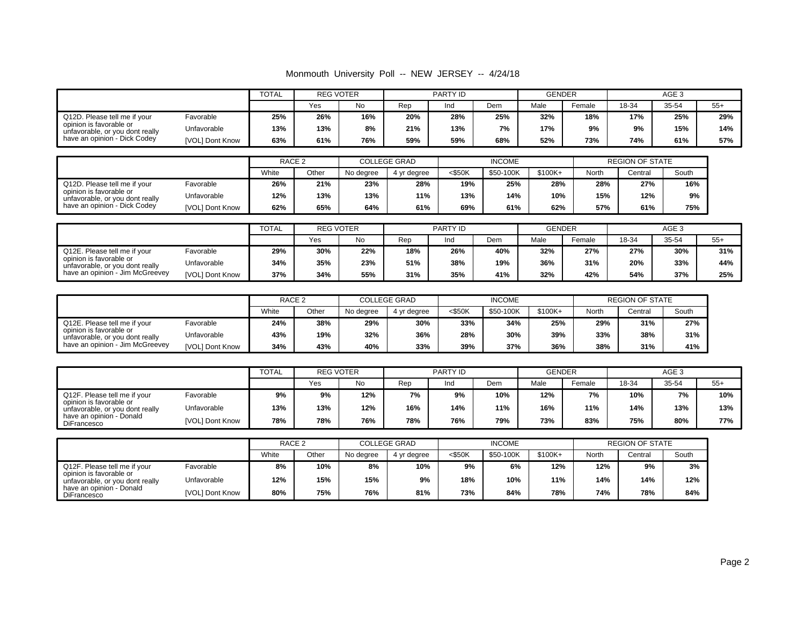#### Monmouth University Poll -- NEW JERSEY -- 4/24/18

|                                                            |                 | <b>TOTAL</b> | <b>REG VOTER</b> |     |     | PARTY ID |     | <b>GENDER</b> |        | AGE <sub>3</sub> |       |       |
|------------------------------------------------------------|-----------------|--------------|------------------|-----|-----|----------|-----|---------------|--------|------------------|-------|-------|
|                                                            |                 |              | Yes              | No  | Rep | Ind      | Dem | Male          | Female | 18-34            | 35-54 | $55+$ |
| Q12D. Please tell me if your                               | Favorable       | 25%          | 26%              | 16% | 20% | 28%      | 25% | 32%           | 18%    | 17%              | 25%   | 29%   |
| opinion is favorable or<br>unfavorable, or you dont really | Unfavorable     | 13%          | 13%              | 8%  | 21% | 13%      | 7%  | 17%           | 9%     | 9%               | 15%   | 14%   |
| have an opinion - Dick Codey                               | [VOL] Dont Know | 63%          | 61%              | 76% | 59% | 59%      | 68% | 52%           | 73%    | 74%              | 61%   | 57%   |

|                                                            |                 | RACE <sub>2</sub> |       |           | <b>COLLEGE GRAD</b> |           | <b>INCOME</b> |           |       | <b>REGION OF STATE</b> |       |
|------------------------------------------------------------|-----------------|-------------------|-------|-----------|---------------------|-----------|---------------|-----------|-------|------------------------|-------|
|                                                            |                 | White             | Other | No degree | 4 yr degree         | $<$ \$50K | \$50-100K     | $$100K +$ | North | Central                | South |
| Favorable<br>Q12D. Please tell me if your                  |                 | 26%               | 21%   | 23%       | 28%                 | 19%       | 25%           | 28%       | 28%   | 27%                    | 16%   |
| opinion is favorable or<br>unfavorable, or you dont really | Unfavorable     | 12%               | 13%   | 13%       | 11%                 | 13%       | 14%           | 10%       | 15%   | 12%                    | 9%    |
| have an opinion - Dick Codey                               | [VOL] Dont Know | 62%               | 65%   | 64%       | 61%                 | 69%       | 61%           | 62%       | 57%   | 61%                    | 75%   |

|                                                            | <b>TOTAL</b>    |     | <b>REG VOTER</b> |     |     | PARTY ID |     | <b>GENDER</b> |        | AGE <sub>3</sub> |       |       |
|------------------------------------------------------------|-----------------|-----|------------------|-----|-----|----------|-----|---------------|--------|------------------|-------|-------|
|                                                            |                 |     | Yes              | No  | Rep |          | Dem | Male          | Female | 18-34            | 35-54 | $55+$ |
| Q12E. Please tell me if your                               | Favorable       | 29% | 30%              | 22% | 18% | 26%      | 40% | 32%           | 27%    | 27%              | 30%   | 31%   |
| opinion is favorable or<br>unfavorable, or you dont really | Unfavorable     | 34% | 35%              | 23% | 51% | 38%      | 19% | 36%           | 31%    | 20%              | 33%   | 44%   |
| have an opinion - Jim McGreevey                            | [VOL] Dont Know | 37% | 34%              | 55% | 31% | 35%      | 41% | 32%           | 42%    | 54%              | 37%   | 25%   |

|                                                            |                 | RACE <sub>2</sub> |       | <b>COLLEGE GRAD</b> |             |           | <b>INCOME</b> |           | <b>REGION OF STATE</b> |         |       |
|------------------------------------------------------------|-----------------|-------------------|-------|---------------------|-------------|-----------|---------------|-----------|------------------------|---------|-------|
|                                                            |                 | White             | Other | No dearee           | 4 yr degree | $<$ \$50K | \$50-100K     | $$100K +$ | North                  | Central | South |
| Q12E. Please tell me if your                               | Favorable       | 24%               | 38%   | 29%                 | 30%         | 33%       | 34%           | 25%       | 29%                    | 31%     | 27%   |
| opinion is favorable or<br>unfavorable, or you dont really | Unfavorable     | 43%               | 19%   | 32%                 | 36%         | 28%       | 30%           | 39%       | 33%                    | 38%     | 31%   |
| have an opinion - Jim McGreevey                            | [VOL] Dont Know | 34%               | 43%   | 40%                 | 33%         | 39%       | 37%           | 36%       | 38%                    | 31%     | 41%   |

|                                                            |                 | <b>TOTAL</b> | <b>REG VOTER</b> |     |     | PARTY ID |     | <b>GENDER</b> |        |       |       |       |
|------------------------------------------------------------|-----------------|--------------|------------------|-----|-----|----------|-----|---------------|--------|-------|-------|-------|
|                                                            |                 |              | Yes              | No. | Rep | Ind      | Dem | Male          | Female | 18-34 | 35-54 | $55+$ |
| Q12F. Please tell me if your                               | Favorable       | 9%           | 9%               | 12% | 7%  | 9%       | 10% | 12%           | 7%     | 10%   | 7%    | 10%   |
| opinion is favorable or<br>unfavorable, or you dont really | Unfavorable     | 13%          | 13%              | 12% | 16% | 14%      | 11% | 16%           | 11%    | 14%   | 13%   | 13%   |
| have an opinion - Donald<br><b>DiFrancesco</b>             | [VOL] Dont Know | 78%          | 78%              | 76% | 78% | 76%      | 79% | 73%           | 83%    | 75%   | 80%   | 77%   |

|                                                            |                 |     | RACE <sub>2</sub><br>White<br>Other<br>No dearee |     | <b>COLLEGE GRAD</b> |           | <b>INCOME</b> |           | <b>REGION OF STATE</b> |         |       |
|------------------------------------------------------------|-----------------|-----|--------------------------------------------------|-----|---------------------|-----------|---------------|-----------|------------------------|---------|-------|
|                                                            |                 |     |                                                  |     | 4 vr dearee         | $<$ \$50K | \$50-100K     | $$100K +$ | North                  | Central | South |
| Q12F. Please tell me if your                               | Favorable       | 8%  | 10%                                              | 8%  | 10%                 | 9%        | 6%            | 12%       | 12%                    | 9%      | 3%    |
| opinion is favorable or<br>unfavorable, or you dont really | Unfavorable     | 12% | 15%                                              | 15% | 9%                  | 18%       | 10%           | 11%       | 14%                    | 14%     | 12%   |
| have an opinion - Donald<br>DiFrancesco                    | [VOL] Dont Know | 80% | 75%                                              | 76% | 81%                 | 73%       | 84%           | 78%       | 74%                    | 78%     | 84%   |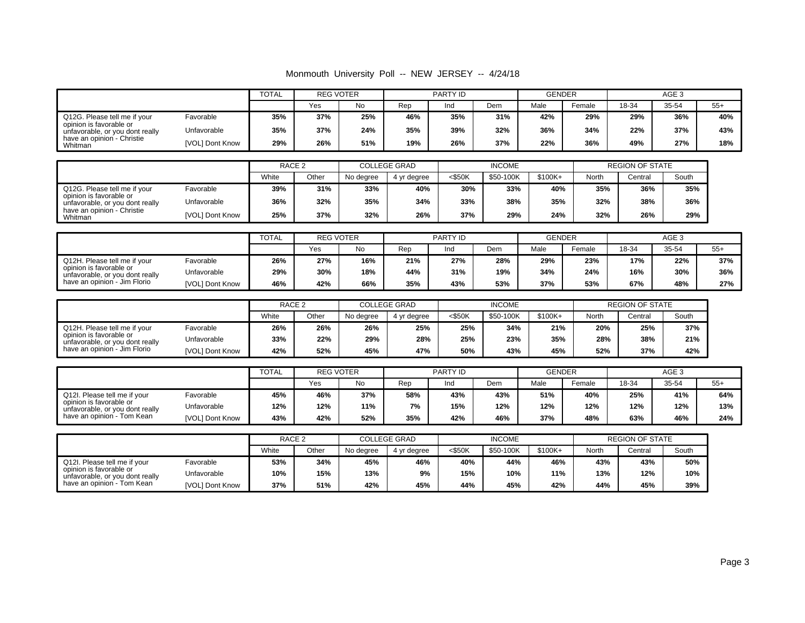#### Monmouth University Poll -- NEW JERSEY -- 4/24/18

|                                                            |                        | <b>TOTAL</b> | <b>REG VOTER</b> |           |                     | PARTY ID  |               | <b>GENDER</b> |        | AGE <sub>3</sub>       |       |       |
|------------------------------------------------------------|------------------------|--------------|------------------|-----------|---------------------|-----------|---------------|---------------|--------|------------------------|-------|-------|
|                                                            |                        |              | Yes              | <b>No</b> | Rep                 | Ind       | Dem           | Male          | Female | 18-34                  | 35-54 | $55+$ |
| Q12G. Please tell me if your                               | Favorable              | 35%          | 37%              | 25%       | 46%                 | 35%       | 31%           | 42%           | 29%    | 29%                    | 36%   | 40%   |
| opinion is favorable or<br>unfavorable, or you dont really | Unfavorable            | 35%          | 37%              | 24%       | 35%                 | 39%       | 32%           | 36%           | 34%    | 22%                    | 37%   | 43%   |
| have an opinion - Christie<br>Whitman                      | [VOL] Dont Know        | 29%          | 26%              | 51%       | 19%                 | 26%       | 37%           | 22%           | 36%    | 49%                    | 27%   | 18%   |
|                                                            |                        |              |                  |           |                     |           |               |               |        |                        |       |       |
|                                                            |                        | RACE 2       |                  |           | <b>COLLEGE GRAD</b> |           | <b>INCOME</b> |               |        | <b>REGION OF STATE</b> |       |       |
|                                                            |                        | White        | Other            | No degree | 4 yr degree         | $<$ \$50K | \$50-100K     | $$100K+$      | North  | Central                | South |       |
| Q12G. Please tell me if your                               | Favorable              | 39%          | 31%              | 33%       | 40%                 | 30%       | 33%           | 40%           | 35%    | 36%                    | 35%   |       |
| opinion is favorable or<br>unfavorable, or you dont really | Unfavorable            | 36%          | 32%              | 35%       | 34%                 | 33%       | 38%           | 35%           | 32%    | 38%                    | 36%   |       |
| have an opinion - Christie<br>Whitman                      | <b>IVOLI Dont Know</b> | 25%          | 37%              | 32%       | 26%                 | 37%       | 29%           | 24%           | 32%    | 26%                    | 29%   |       |

|                                                            |                 | <b>TOTAL</b> | <b>REG VOTER</b> |     | PARTY ID |     |     | <b>GENDER</b> |        | AGE 3 |       |       |
|------------------------------------------------------------|-----------------|--------------|------------------|-----|----------|-----|-----|---------------|--------|-------|-------|-------|
|                                                            |                 |              | Yes              | No  | Rep      | Ind | Dem | Male          | Female | 18-34 | 35-54 | $55+$ |
| Q12H. Please tell me if your                               | Favorable       | 26%          | 27%              | 16% | 21%      | 27% | 28% | 29%           | 23%    | 17%   | 22%   | 37%   |
| opinion is favorable or<br>unfavorable, or you dont really | Unfavorable     | 29%          | 30%              | 18% | 44%      | 31% | 19% | 34%           | 24%    | 16%   | 30%   | 36%   |
| have an opinion - Jim Florio                               | [VOL] Dont Know | 46%          | 42%              | 66% | 35%      | 43% | 53% | 37%           | 53%    | 67%   | 48%   | 27%   |

|                                                            |                        | RACE <sub>2</sub> |                    | <b>COLLEGE GRAD</b> |             | <b>INCOME</b> |           |           | <b>REGION OF STATE</b> |         |       |
|------------------------------------------------------------|------------------------|-------------------|--------------------|---------------------|-------------|---------------|-----------|-----------|------------------------|---------|-------|
|                                                            |                        | White             | Other<br>No degree |                     | 4 vr dearee | $<$ \$50 $K$  | \$50-100K | $$100K +$ | North                  | Central | South |
| Q12H. Please tell me if your                               | Favorable              | 26%               | 26%                | 26%                 | 25%         | 25%           | 34%       | 21%       | 20%                    | 25%     | 37%   |
| opinion is favorable or<br>unfavorable, or you dont really | Unfavorable            | 33%               | 22%                | 29%                 | 28%         | 25%           | 23%       | 35%       | 28%                    | 38%     | 21%   |
| have an opinion - Jim Florio                               | <b>IVOLI Dont Know</b> | 42%               | 52%                | 45%                 | 47%         | 50%           | 43%       | 45%       | 52%                    | 37%     | 42%   |

|                                                            |                 | <b>TOTAL</b> | <b>REG VOTER</b> |           |     |     | PARTY ID |      | <b>GENDER</b> | AGE 3 |       |       |
|------------------------------------------------------------|-----------------|--------------|------------------|-----------|-----|-----|----------|------|---------------|-------|-------|-------|
|                                                            |                 |              | Yes              | <b>No</b> | Rep | Ind | Dem      | Male | Female        | 18-34 | 35-54 | $55+$ |
| Q12I. Please tell me if your                               | Favorable       | 45%          | 46%              | 37%       | 58% | 43% | 43%      | 51%  | 40%           | 25%   | 41%   | 64%   |
| opinion is favorable or<br>unfavorable, or you dont really | Unfavorable     | 12%          | 12%              | 11%       | 7%  | 15% | 12%      | 12%  | 12%           | 12%   | 12%   | 13%   |
| have an opinion - Tom Kean                                 | [VOL] Dont Know | 43%          | 42%              | 52%       | 35% | 42% | 46%      | 37%  | 48%           | 63%   | 46%   | 24%   |

|                                                            |                 |       | RACE <sub>2</sub> |           | <b>COLLEGE GRAD</b> |           | <b>INCOME</b> |           | <b>REGION OF STATE</b> |         |       |
|------------------------------------------------------------|-----------------|-------|-------------------|-----------|---------------------|-----------|---------------|-----------|------------------------|---------|-------|
|                                                            |                 | White | Other             | No dearee | 4 vr dearee         | $<$ \$50K | \$50-100K     | $$100K +$ | North                  | Central | South |
| Q12I. Please tell me if your                               | Favorable       | 53%   | 34%               | 45%       | 46%                 | 40%       | 44%           | 46%       | 43%                    | 43%     | 50%   |
| opinion is favorable or<br>unfavorable, or you dont really | Unfavorable     | 10%   | 15%               | 13%       | 9%                  | 15%       | 10%           | 11%       | 13%                    | 12%     | 10%   |
| have an opinion - Tom Kean                                 | [VOL] Dont Know | 37%   | 51%               | 42%       | 45%                 | 44%       | 45%           | 42%       | 44%                    | 45%     | 39%   |